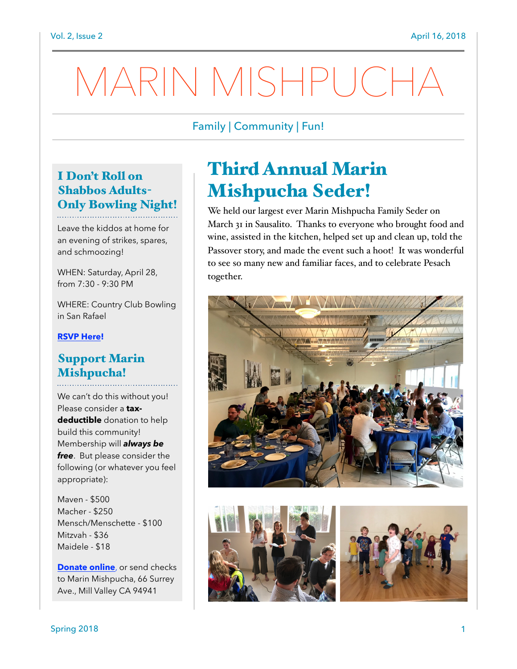# MARIN MISHPUCHA

### Family | Community | Fun!

### I Don't Roll on Shabbos Adults-Only Bowling Night!

Leave the kiddos at home for an evening of strikes, spares, and schmoozing!

WHEN: Saturday, April 28, from 7:30 - 9:30 PM

WHERE: Country Club Bowling in San Rafael

#### **[RSVP Here!](http://evite.me/8eYtEWuPqR)**

#### Support Marin Mishpucha!

We can't do this without you! Please consider a **taxdeductible** donation to help build this community! Membership will *always be free*. But please consider the following (or whatever you feel appropriate):

Maven - \$500 Macher - \$250 Mensch/Menschette - \$100 Mitzvah - \$36 Maidele - \$18

**[Donate online](http://www.marinmishpucha.org/donate)**, or send checks to Marin Mishpucha, 66 Surrey Ave., Mill Valley CA 94941

## Third Annual Marin Mishpucha Seder!

We held our largest ever Marin Mishpucha Family Seder on March 31 in Sausalito. Thanks to everyone who brought food and wine, assisted in the kitchen, helped set up and clean up, told the Passover story, and made the event such a hoot! It was wonderful to see so many new and familiar faces, and to celebrate Pesach together.